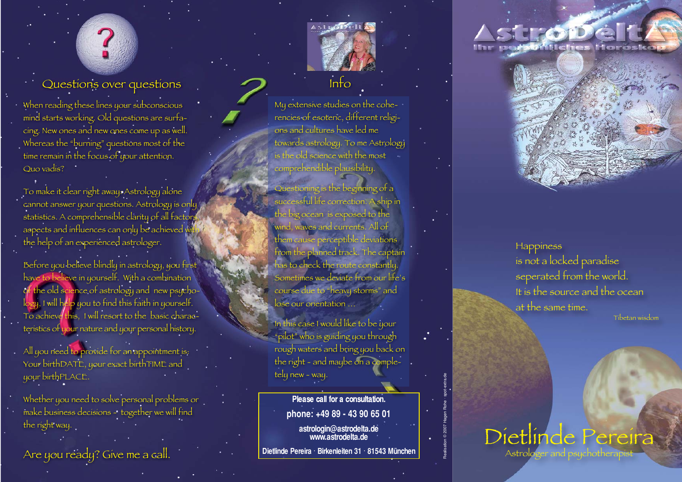## Questions over questions

When reading these lines your subconscious mind starts working. Old questions are surfacing. New ones and new ones come up as well. Whereas the "burning" questions most of the time remain in the focus of your attention. Quo vadis?

To make it clear right away: Astrology alone cannot answer your questions. Astrology is only statistics. A comprehensible clarity of all factors, aspects and influences can only be achieved with the help of an experienced astrologer.

Before you believe blindly in astrology, you first have to believe in yourself. With a combination of the old science of astrology and new psychology, I will help you to find this faith in yourself. To achieve this, I will resort to the basic characteristics of your nature and your personal history.

All you need to provide for an appointment is: Your birthDATE, your exact birthTIME and your birthPLACE.

Whether you need to solve personal problems or make business decisions - together we will find the right way.

Are you ready? Give me a call.

My extensive studies on the coherencies of esoteric, different religions and cultures have led me towards astrology. To me Astrology is the old science with the most comprehendible plausibility.

Info

Questioning is the beginning of a successful life correction. A ship in the big ocean is exposed to the wind, waves and currents. All of them cause perceptible deviations from the planned track. The captain has to check the route constantly. Sometimes we deviate from our life's course due to "heavy storms" and lose our orientation …

In this case I would like to be your "pilot" who is guiding you through rough waters and bring you back on the right - and maybe on a completely new - way.

Fely new - way.<br>
Please call for a consultation.<br>
phone: +49 89 - 43 90 65 01<br>
astrologin@astrodelta.de<br>
www.astrodelta.de<br>
Dietlinde Pereira · Birkenleiten 31 · 81543 München

## H-CopD-C Ihr personiches Horos



**Happiness** is not a locked paradise seperated from the world. It is the source and the ocean at the same time.

Tibetan wisdom

## Dietlinde Pereira Astrologer and psychothe